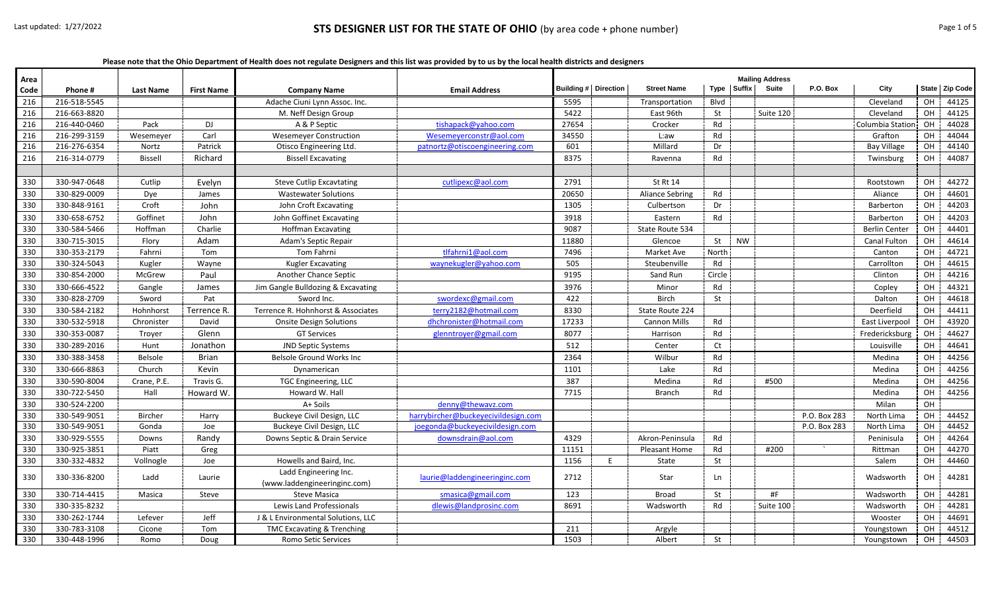**Please note that the Ohio Department of Health does not regulate Designers and this list was provided by to us by the local health districts and designers**

| Area<br>Code | Phone#       | <b>Last Name</b> | <b>First Name</b> | <b>Company Name</b>                                   | <b>Email Address</b>                | Building #   Direction |   | <b>Street Name</b>     |           | Type Suffix | <b>Mailing Address</b><br>Suite | P.O. Box     | City                 |           | State   Zip Code |
|--------------|--------------|------------------|-------------------|-------------------------------------------------------|-------------------------------------|------------------------|---|------------------------|-----------|-------------|---------------------------------|--------------|----------------------|-----------|------------------|
| 216          | 216-518-5545 |                  |                   | Adache Ciuni Lynn Assoc. Inc.                         |                                     | 5595                   |   | Transportation         | Blvd      |             |                                 |              | Cleveland            | OH        | 44125            |
| 216          | 216-663-8820 |                  |                   | M. Neff Design Group                                  |                                     | 5422                   |   | East 96th              | St        |             | Suite 120                       |              | Cleveland            | OH        | 44125            |
| 216          | 216-440-0460 | Pack             | DJ                | A & P Septic                                          | tishapack@yahoo.com                 | 27654                  |   | Crocker                | Rd        |             |                                 |              | Columbia Station     | OH        | 44028            |
| 216          | 216-299-3159 | Wesemeyer        | Carl              | <b>Wesemever Construction</b>                         | Wesemeverconstr@aol.com             | 34550                  |   | L:aw                   | Rd        |             |                                 |              | Grafton              | <b>OH</b> | 44044            |
| 216          | 216-276-6354 | Nortz            | Patrick           | Otisco Engineering Ltd.                               | patnortz@otiscoengineering.com      | 601                    |   | Millard                | Dr        |             |                                 |              | Bay Village          | <b>OH</b> | 44140            |
| 216          | 216-314-0779 | <b>Bissell</b>   | Richard           | <b>Bissell Excavating</b>                             |                                     | 8375                   |   | Ravenna                | Rd        |             |                                 |              | Twinsburg            | OH        | 44087            |
|              |              |                  |                   |                                                       |                                     |                        |   |                        |           |             |                                 |              |                      |           |                  |
| 330          | 330-947-0648 | Cutlip           | Evelyn            | <b>Steve Cutlip Excavtating</b>                       | cutlipexc@aol.com                   | 2791                   |   | St Rt 14               |           |             |                                 |              | Rootstown            | OH        | 44272            |
| 330          | 330-829-0009 | Dye              | James             | <b>Wastewater Solutions</b>                           |                                     | 20650                  |   | <b>Aliance Sebring</b> | Rd        |             |                                 |              | Aliance              | OН        | 44601            |
| 330          | 330-848-9161 | Croft            | John              | John Croft Excavating                                 |                                     | 1305                   |   | Culbertson             | Dr        |             |                                 |              | Barberton            | OН        | 44203            |
| 330          | 330-658-6752 | Goffinet         | John              | John Goffinet Excavating                              |                                     | 3918                   |   | Eastern                | Rd        |             |                                 |              | Barberton            | OH        | 44203            |
| 330          | 330-584-5466 | Hoffman          | Charlie           | <b>Hoffman Excavating</b>                             |                                     | 9087                   |   | State Route 534        |           |             |                                 |              | <b>Berlin Center</b> | OH        | 44401            |
| 330          | 330-715-3015 | Flory            | Adam              | Adam's Septic Repair                                  |                                     | 11880                  |   | Glencoe                | St        | <b>NW</b>   |                                 |              | Canal Fulton         | OH        | 44614            |
| 330          | 330-353-2179 | Fahrni           | Tom               | <b>Tom Fahrni</b>                                     | tlfahrni1@aol.com                   | 7496                   |   | Market Ave             | North     |             |                                 |              | Canton               | OH        | 44721            |
| 330          | 330-324-5043 | Kugler           | Wayne             | Kugler Excavating                                     | waynekugler@yahoo.com               | 505                    |   | Steubenville           | Rd        |             |                                 |              | Carrollton           | OH        | 44615            |
| 330          | 330-854-2000 | McGrew           | Paul              | Another Chance Septic                                 |                                     | 9195                   |   | Sand Run               | Circle    |             |                                 |              | Clinton              | OH        | 44216            |
| 330          | 330-666-4522 | Gangle           | James             | Jim Gangle Bulldozing & Excavating                    |                                     | 3976                   |   | Minor                  | Rd        |             |                                 |              | Copley               | OH        | 44321            |
| 330          | 330-828-2709 | Sword            | Pat               | Sword Inc.                                            | swordexc@gmail.com                  | 422                    |   | <b>Birch</b>           | St        |             |                                 |              | Dalton               | OH        | 44618            |
| 330          | 330-584-2182 | Hohnhorst        | <b>Terrence R</b> | Terrence R. Hohnhorst & Associates                    | terry2182@hotmail.com               | 8330                   |   | State Route 224        |           |             |                                 |              | Deerfield            | OH        | 44411            |
| 330          | 330-532-5918 | Chronister       | David             | <b>Onsite Design Solutions</b>                        | dhchronister@hotmail.com            | 17233                  |   | <b>Cannon Mills</b>    | Rd        |             |                                 |              | East Liverpool       | OH        | 43920            |
| 330          | 330-353-0087 | Troyer           | Glenn             | <b>GT Services</b>                                    | glenntroyer@gmail.com               | 8077                   |   | Harrison               | Rd        |             |                                 |              | Fredericksburg       | OH        | 44627            |
| 330          | 330-289-2016 | Hunt             | Jonathon          | <b>JND Septic Systems</b>                             |                                     | 512                    |   | Center                 | Ct        |             |                                 |              | Louisville           | <b>OH</b> | 44641            |
| 330          | 330-388-3458 | Belsole          | <b>Brian</b>      | Belsole Ground Works Inc                              |                                     | 2364                   |   | Wilbur                 | Rd        |             |                                 |              | Medina               | OH        | 44256            |
| 330          | 330-666-8863 | Church           | Kevin             | Dynamerican                                           |                                     | 1101                   |   | Lake                   | Rd        |             |                                 |              | Medina               | OН        | 44256            |
| 330          | 330-590-8004 | Crane, P.E.      | Travis G.         | TGC Engineering, LLC                                  |                                     | 387                    |   | Medina                 | Rd        |             | #500                            |              | Medina               | <b>OH</b> | 44256            |
| 330          | 330-722-5450 | Hall             | Howard W          | Howard W. Hall                                        |                                     | 7715                   |   | Branch                 | Rd        |             |                                 |              | Medina               | OН        | 44256            |
| 330          | 330-524-2200 |                  |                   | A+ Soils                                              | denny@thewavz.com                   |                        |   |                        |           |             |                                 |              | Milan                | OН        |                  |
| 330          | 330-549-9051 | <b>Bircher</b>   | Harry             | Buckeye Civil Design, LLC                             | harrybircher@buckeyecivildesign.com |                        |   |                        |           |             |                                 | P.O. Box 283 | North Lima           | OH        | 44452            |
| 330          | 330-549-9051 | Gonda            | Joe               | Buckeye Civil Design, LLC                             | joegonda@buckeyecivildesign.com     |                        |   |                        |           |             |                                 | P.O. Box 283 | North Lima           | OH        | 44452            |
| 330          | 330-929-5555 | Downs            | Randy             | Downs Septic & Drain Service                          | downsdrain@aol.com                  | 4329                   |   | Akron-Peninsula        | Rd        |             |                                 |              | Peninisula           | OH        | 44264            |
| 330          | 330-925-3851 | Piatt            | Greg              |                                                       |                                     | 11151                  |   | Pleasant Home          | Rd        |             | #200                            |              | Rittman              | OH        | 44270            |
| 330          | 330-332-4832 | Vollnogle        | Joe               | Howells and Baird, Inc.                               |                                     | 1156                   | E | State                  | St        |             |                                 |              | Salem                | <b>OH</b> | 44460            |
| 330          | 330-336-8200 | Ladd             | Laurie            | Ladd Engineering Inc.<br>(www.laddengineeringinc.com) | laurie@laddengineeringinc.com       | 2712                   |   | Star                   | <b>Ln</b> |             |                                 |              | Wadsworth            | OН        | 44281            |
| 330          | 330-714-4415 | Masica           | Steve             | <b>Steve Masica</b>                                   | smasica@gmail.com                   | 123                    |   | <b>Broad</b>           | St        |             | #F                              |              | Wadsworth            | OH        | 44281            |
| 330          | 330-335-8232 |                  |                   | Lewis Land Professionals                              | dlewis@landprosinc.com              | 8691                   |   | Wadsworth              | Rd        |             | Suite 100                       |              | Wadsworth            | OН        | 44281            |
| 330          | 330-262-1744 | Lefever          | Jeff              | J & L Environmental Solutions, LLC                    |                                     |                        |   |                        |           |             |                                 |              | Wooster              | OH        | 44691            |
| 330          | 330-783-3108 | Cicone           | Tom               | TMC Excavating & Trenching                            |                                     | 211                    |   | Argyle                 |           |             |                                 |              | Youngstown           | OН        | 44512            |
| 330          | 330-448-1996 | Romo             | Doug              | Romo Setic Services                                   |                                     | 1503                   |   | Albert                 | St        |             |                                 |              | Youngstown           | OH        | 44503            |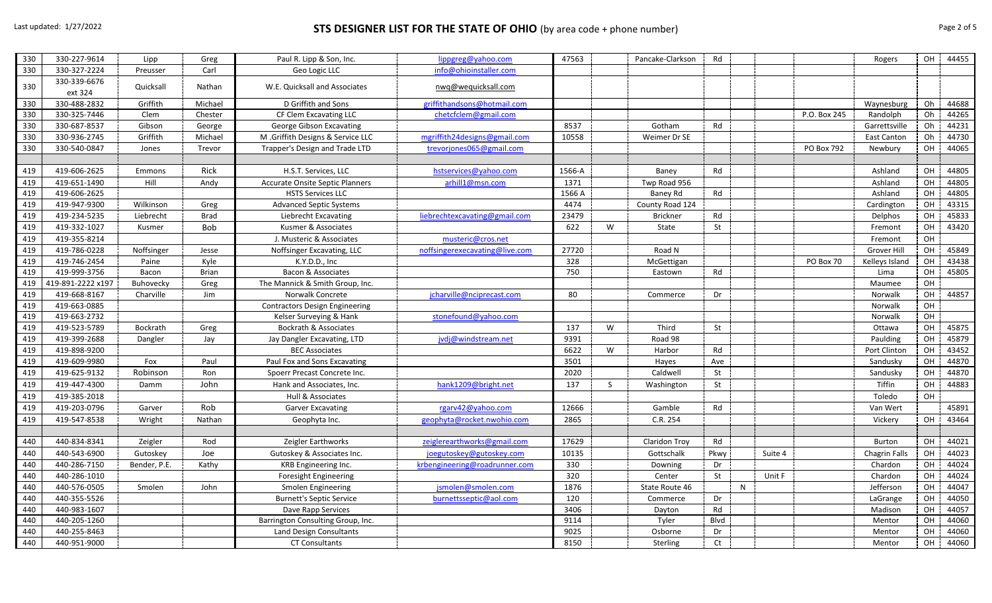## Last updated: 1/27/2022 **STS DESIGNER LIST FOR THE STATE OF OHIO** (by area code + phone number) Page 2 of 5

| 330 | 330-227-9614            | Lipp         | Greg         | Paul R. Lipp & Son, Inc.               | lippgreg@yahoo.com             | 47563  |              | Pancake-Clarkson     | Rd   |   |         |              | Rogers             | OH | 44455 |
|-----|-------------------------|--------------|--------------|----------------------------------------|--------------------------------|--------|--------------|----------------------|------|---|---------|--------------|--------------------|----|-------|
| 330 | 330-327-2224            | Preusser     | Carl         | Geo Logic LLC                          | info@ohioinstaller.com         |        |              |                      |      |   |         |              |                    |    |       |
| 330 | 330-339-6676<br>ext 324 | Quicksall    | Nathan       | W.E. Quicksall and Associates          | nwq@wequicksall.com            |        |              |                      |      |   |         |              |                    |    |       |
| 330 | 330-488-2832            | Griffith     | Michael      | D Griffith and Sons                    | griffithandsons@hotmail.com    |        |              |                      |      |   |         |              | Waynesburg         | Oh | 44688 |
| 330 | 330-325-7446            | Clem         | Chester      | CF Clem Excavating LLC                 | chetcfclem@gmail.com           |        |              |                      |      |   |         | P.O. Box 245 | Randolph           | Oh | 44265 |
| 330 | 330-687-8537            | Gibson       | George       | George Gibson Excavating               |                                | 8537   |              | Gotham               | Rd   |   |         |              | Garrettsville      | Oh | 44231 |
| 330 | 330-936-2745            | Griffith     | Michael      | M .Griffith Designs & Service LLC      | mgriffith24designs@gmail.com   | 10558  |              | Weimer Dr SE         |      |   |         |              | <b>East Canton</b> | Oh | 44730 |
| 330 | 330-540-0847            | Jones        | Trevor       | Trapper's Design and Trade LTD         | trevorjones065@gmail.com       |        |              |                      |      |   |         | PO Box 792   | Newbury            | OH | 44065 |
|     |                         |              |              |                                        |                                |        |              |                      |      |   |         |              |                    |    |       |
| 419 | 419-606-2625            | Emmons       | Rick         | H.S.T. Services, LLC                   | hstservices@yahoo.com          | 1566-A |              | Baney                | Rd   |   |         |              | Ashland            | OH | 44805 |
| 419 | 419-651-1490            | Hill         | Andy         | <b>Accurate Onsite Septic Planners</b> | arhill1@msn.com                | 1371   |              | Twp Road 956         |      |   |         |              | Ashland            | OH | 44805 |
| 419 | 419-606-2625            |              |              | <b>HSTS Services LLC</b>               |                                | 1566 A |              | Baney Rd             | Rd   |   |         |              | Ashland            | OH | 44805 |
| 419 | 419-947-9300            | Wilkinson    | Greg         | <b>Advanced Septic Systems</b>         |                                | 4474   |              | County Road 124      |      |   |         |              | Cardington         | OH | 43315 |
| 419 | 419-234-5235            | Liebrecht    | <b>Brad</b>  | Liebrecht Excavating                   | liebrechtexcavating@gmail.com  | 23479  |              | <b>Brickner</b>      | Rd   |   |         |              | Delphos            | OH | 45833 |
| 419 | 419-332-1027            | Kusmer       | <b>Bob</b>   | Kusmer & Associates                    |                                | 622    | W            | State                | St   |   |         |              | Fremont            | OH | 43420 |
| 419 | 419-355-8214            |              |              | J. Musteric & Associates               | musteric@cros.net              |        |              |                      |      |   |         |              | Fremont            | OH |       |
| 419 | 419-786-0228            | Noffsinger   | Jesse        | Noffsinger Excavating, LLC             | noffsingerexecavating@live.com | 27720  |              | Road N               |      |   |         |              | Grover Hill        | OH | 45849 |
| 419 | 419-746-2454            | Paine        | Kyle         | K.Y.D.D., Inc                          |                                | 328    |              | McGettigan           |      |   |         | PO Box 70    | Kelleys Island     | OH | 43438 |
| 419 | 419-999-3756            | Bacon        | <b>Brian</b> | Bacon & Associates                     |                                | 750    |              | Eastown              | Rd   |   |         |              | Lima               | OH | 45805 |
| 419 | 419-891-2222 x197       | Buhovecky    | Greg         | The Mannick & Smith Group, Inc.        |                                |        |              |                      |      |   |         |              | Maumee             | OH |       |
| 419 | 419-668-8167            | Charville    | Jim          | Norwalk Concrete                       | jcharville@nciprecast.com      | 80     |              | Commerce             | Dr   |   |         |              | Norwalk            | OH | 44857 |
| 419 | 419-663-0885            |              |              | <b>Contractors Design Engineering</b>  |                                |        |              |                      |      |   |         |              | Norwalk            | OH |       |
| 419 | 419-663-2732            |              |              | Kelser Surveying & Hank                | stonefound@yahoo.com           |        |              |                      |      |   |         |              | Norwalk            | OH |       |
| 419 | 419-523-5789            | Bockrath     | Greg         | Bockrath & Associates                  |                                | 137    | W            | Third                | St   |   |         |              | Ottawa             | OH | 45875 |
| 419 | 419-399-2688            | Dangler      | Jay          | Jay Dangler Excavating, LTD            | jvdj@windstream.net            | 9391   |              | Road 98              |      |   |         |              | Paulding           | OH | 45879 |
| 419 | 419-898-9200            |              |              | <b>BEC Associates</b>                  |                                | 6622   | W            | Harbor               | Rd   |   |         |              | Port Clinton       | OH | 43452 |
| 419 | 419-609-9980            | Fox          | Paul         | Paul Fox and Sons Excavating           |                                | 3501   |              | Hayes                | Ave  |   |         |              | Sandusky           | OH | 44870 |
| 419 | 419-625-9132            | Robinson     | Ron          | Spoerr Precast Concrete Inc.           |                                | 2020   |              | Caldwell             | St   |   |         |              | Sandusky           | OH | 44870 |
| 419 | 419-447-4300            | Damm         | John         | Hank and Associates, Inc.              | hank1209@bright.net            | 137    | <sub>S</sub> | Washington           | St   |   |         |              | Tiffin             | OH | 44883 |
| 419 | 419-385-2018            |              |              | Hull & Associates                      |                                |        |              |                      |      |   |         |              | Toledo             | OH |       |
| 419 | 419-203-0796            | Garver       | Rob          | <b>Garver Excavating</b>               | rgarv42@yahoo.com              | 12666  |              | Gamble               | Rd   |   |         |              | Van Wert           |    | 45891 |
| 419 | 419-547-8538            | Wright       | Nathan       | Geophyta Inc.                          | geophyta@rocket.nwohio.com     | 2865   |              | C.R. 254             |      |   |         |              | Vickery            | OH | 43464 |
|     |                         |              |              |                                        |                                |        |              |                      |      |   |         |              |                    |    |       |
| 440 | 440-834-8341            | Zeigler      | Rod          | Zeigler Earthworks                     | zeiglerearthworks@gmail.com    | 17629  |              | <b>Claridon Troy</b> | Rd   |   |         |              | <b>Burton</b>      | OH | 44021 |
| 440 | 440-543-6900            | Gutoskey     | Joe          | Gutoskey & Associates Inc.             | joegutoskey@gutoskey.com       | 10135  |              | Gottschalk           | Pkwy |   | Suite 4 |              | Chagrin Falls      | OH | 44023 |
| 440 | 440-286-7150            | Bender, P.E. | Kathy        | KRB Engineering Inc.                   | krbengineering@roadrunner.com  | 330    |              | Downing              | Dr   |   |         |              | Chardon            | OH | 44024 |
| 440 | 440-286-1010            |              |              | Foresight Engineering                  |                                | 320    |              | Center               | St   |   | Unit F  |              | Chardon            | OH | 44024 |
| 440 | 440-576-0505            | Smolen       | John         | Smolen Engineering                     | jsmolen@smolen.com             | 1876   |              | State Route 46       |      | N |         |              | Jefferson          | OH | 44047 |
| 440 | 440-355-5526            |              |              | <b>Burnett's Septic Service</b>        | burnettsseptic@aol.com         | 120    |              | Commerce             | Dr   |   |         |              | LaGrange           | OH | 44050 |
| 440 | 440-983-1607            |              |              | Dave Rapp Services                     |                                | 3406   |              | Dayton               | Rd   |   |         |              | Madison            | OH | 44057 |
| 440 | 440-205-1260            |              |              | Barrington Consulting Group, Inc.      |                                | 9114   |              | Tyler                | Blvd |   |         |              | Mentor             | OH | 44060 |
| 440 | 440-255-8463            |              |              | Land Design Consultants                |                                | 9025   |              | Osborne              | Dr   |   |         |              | Mentor             | OH | 44060 |
| 440 | 440-951-9000            |              |              | <b>CT Consultants</b>                  |                                | 8150   |              | Sterling             | Ct   |   |         |              | Mentor             | OH | 44060 |
|     |                         |              |              |                                        |                                |        |              |                      |      |   |         |              |                    |    |       |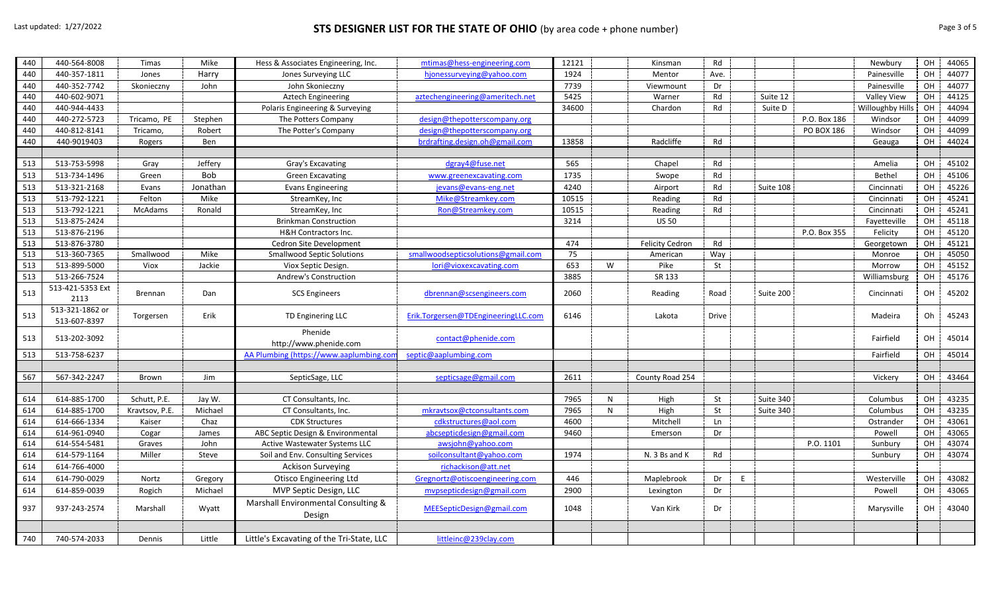## Last updated: 1/27/2022 **STS DESIGNER LIST FOR THE STATE OF OHIO** (by area code + phone number) Page 3 of 5

| 440 | 440-564-8008     | <b>Timas</b>   | Mike       | Hess & Associates Engineering, Inc.       | mtimas@hess-engineering.com         | 12121 |   | Kinsman                | Rd    |           |              | Newbury                 | OH | 44065 |
|-----|------------------|----------------|------------|-------------------------------------------|-------------------------------------|-------|---|------------------------|-------|-----------|--------------|-------------------------|----|-------|
| 440 | 440-357-1811     | Jones          | Harry      | Jones Surveying LLC                       | hjonessurveying@yahoo.com           | 1924  |   | Mentor                 | Ave.  |           |              | Painesville             | OH | 44077 |
| 440 | 440-352-7742     | Skonieczny     | John       | John Skonieczny                           |                                     | 7739  |   | Viewmount              | Dr    |           |              | Painesville             | OH | 44077 |
| 440 | 440-602-9071     |                |            | <b>Aztech Engineering</b>                 | aztechengineering@ameritech.net     | 5425  |   | Warner                 | Rd    | Suite 12  |              | <b>Valley View</b>      | OH | 44125 |
| 440 | 440-944-4433     |                |            | Polaris Engineering & Surveying           |                                     | 34600 |   | Chardon                | Rd    | Suite D   |              | <b>Willoughby Hills</b> | OH | 44094 |
| 440 | 440-272-5723     | Tricamo, PE    | Stephen    | The Potters Company                       | design@thepotterscompany.org        |       |   |                        |       |           | P.O. Box 186 | Windsor                 | OH | 44099 |
| 440 | 440-812-8141     | Tricamo,       | Robert     | The Potter's Company                      | design@thepotterscompany.org        |       |   |                        |       |           | PO BOX 186   | Windsor                 | OH | 44099 |
| 440 | 440-9019403      | Rogers         | Ben        |                                           | brdrafting.design.oh@gmail.com      | 13858 |   | Radcliffe              | Rd    |           |              | Geauga                  | OH | 44024 |
|     |                  |                |            |                                           |                                     |       |   |                        |       |           |              |                         |    |       |
| 513 | 513-753-5998     | Gray           | Jeffery    | Gray's Excavating                         | dgray4@fuse.net                     | 565   |   | Chapel                 | Rd    |           |              | Amelia                  | OH | 45102 |
| 513 | 513-734-1496     | Green          | <b>Bob</b> | <b>Green Excavating</b>                   | www.greenexcavating.com             | 1735  |   | Swope                  | Rd    |           |              | Bethel                  | OH | 45106 |
| 513 | 513-321-2168     | Evans          | Jonathan   | <b>Evans Engineering</b>                  | jevans@evans-eng.net                | 4240  |   | Airport                | Rd    | Suite 108 |              | Cincinnati              | OH | 45226 |
| 513 | 513-792-1221     | Felton         | Mike       | StreamKey, Inc                            | Mike@Streamkey.com                  | 10515 |   | Reading                | Rd    |           |              | Cincinnati              | OH | 45241 |
| 513 | 513-792-1221     | McAdams        | Ronald     | StreamKey, Inc                            | Ron@Streamkey.com                   | 10515 |   | Reading                | Rd    |           |              | Cincinnati              | OH | 45241 |
| 513 | 513-875-2424     |                |            | <b>Brinkman Construction</b>              |                                     | 3214  |   | <b>US 50</b>           |       |           |              | Fayetteville            | OH | 45118 |
| 513 | 513-876-2196     |                |            | H&H Contractors Inc.                      |                                     |       |   |                        |       |           | P.O. Box 355 | Felicity                | OH | 45120 |
| 513 | 513-876-3780     |                |            | Cedron Site Development                   |                                     | 474   |   | <b>Felicity Cedron</b> | Rd    |           |              | Georgetown              | OH | 45121 |
| 513 | 513-360-7365     | Smallwood      | Mike       | <b>Smallwood Septic Solutions</b>         | smallwoodsepticsolutions@gmail.com  | 75    |   | American               | Way   |           |              | Monroe                  | OH | 45050 |
| 513 | 513-899-5000     | Viox           | Jackie     | Viox Septic Design.                       | lori@vioxexcavating.com             | 653   | W | Pike                   | St    |           |              | Morrow                  | OH | 45152 |
| 513 | 513-266-7524     |                |            | <b>Andrew's Construction</b>              |                                     | 3885  |   | SR 133                 |       |           |              | Williamsburg            | OH | 45176 |
| 513 | 513-421-5353 Ext |                |            | <b>SCS Engineers</b>                      | dbrennan@scsengineers.com           | 2060  |   | Reading                |       | Suite 200 |              | Cincinnati              | OH | 45202 |
|     | 2113             | Brennan        | Dan        |                                           |                                     |       |   |                        | Road  |           |              |                         |    |       |
| 513 | 513-321-1862 or  | Torgersen      | Erik       | TD Enginering LLC                         | Erik.Torgersen@TDEngineeringLLC.com | 6146  |   | Lakota                 | Drive |           |              | Madeira                 | Oh | 45243 |
|     | 513-607-8397     |                |            |                                           |                                     |       |   |                        |       |           |              |                         |    |       |
| 513 | 513-202-3092     |                |            | Phenide                                   | contact@phenide.com                 |       |   |                        |       |           |              | Fairfield               | OH | 45014 |
|     |                  |                |            | http://www.phenide.com                    |                                     |       |   |                        |       |           |              |                         |    |       |
| 513 | 513-758-6237     |                |            | AA Plumbing (https://www.aaplumbing.com   | septic@aaplumbing.com               |       |   |                        |       |           |              | Fairfield               | OH | 45014 |
|     |                  |                |            |                                           |                                     |       |   |                        |       |           |              |                         |    |       |
| 567 | 567-342-2247     | Brown          | Jim        | SepticSage, LLC                           | septicsage@gmail.com                | 2611  |   | County Road 254        |       |           |              | Vickery                 | OH | 43464 |
|     |                  |                |            |                                           |                                     |       |   |                        |       |           |              |                         |    |       |
| 614 | 614-885-1700     | Schutt, P.E.   | Jay W.     | CT Consultants, Inc.                      |                                     | 7965  | N | High                   | St    | Suite 340 |              | Columbus                | OH | 43235 |
| 614 | 614-885-1700     | Kravtsov, P.E. | Michael    | CT Consultants, Inc.                      | mkravtsox@ctconsultants.com         | 7965  | N | High                   | St    | Suite 340 |              | Columbus                | OH | 43235 |
| 614 | 614-666-1334     | Kaiser         | Chaz       | <b>CDK Structures</b>                     | cdkstructures@aol.com               | 4600  |   | Mitchell               | Ln    |           |              | Ostrander               | OH | 43061 |
| 614 | 614-961-0940     | Cogar          | James      | ABC Septic Design & Environmental         | abcsepticdesign@gmail.com           | 9460  |   | Emerson                | Dr    |           |              | Powell                  | OH | 43065 |
| 614 | 614-554-5481     | Graves         | John       | Active Wastewater Systems LLC             | awsjohn@yahoo.com                   |       |   |                        |       |           | P.O. 1101    | Sunbury                 | OH | 43074 |
| 614 | 614-579-1164     | Miller         | Steve      | Soil and Env. Consulting Services         | soilconsultant@yahoo.com            | 1974  |   | N. 3 Bs and K          | Rd    |           |              | Sunbury                 | OH | 43074 |
| 614 | 614-766-4000     |                |            | <b>Ackison Surveying</b>                  | richackison@att.net                 |       |   |                        |       |           |              |                         |    |       |
| 614 | 614-790-0029     | Nortz          | Gregory    | <b>Otisco Engineering Ltd</b>             | Gregnortz@otiscoengineering.com     | 446   |   | Maplebrook             | Dr    | E         |              | Westerville             | OH | 43082 |
| 614 | 614-859-0039     | Rogich         | Michael    | MVP Septic Design, LLC                    | mypsepticdesign@gmail.com           | 2900  |   | Lexington              | Dr    |           |              | Powell                  | OH | 43065 |
| 937 | 937-243-2574     | Marshall       | Wyatt      | Marshall Environmental Consulting &       | MEESepticDesign@gmail.com           | 1048  |   | Van Kirk               | Dr    |           |              | Marysville              | OH | 43040 |
|     |                  |                |            | Design                                    |                                     |       |   |                        |       |           |              |                         |    |       |
|     |                  |                |            |                                           |                                     |       |   |                        |       |           |              |                         |    |       |
| 740 | 740-574-2033     | Dennis         | Little     | Little's Excavating of the Tri-State, LLC | littleinc@239clay.com               |       |   |                        |       |           |              |                         |    |       |
|     |                  |                |            |                                           |                                     |       |   |                        |       |           |              |                         |    |       |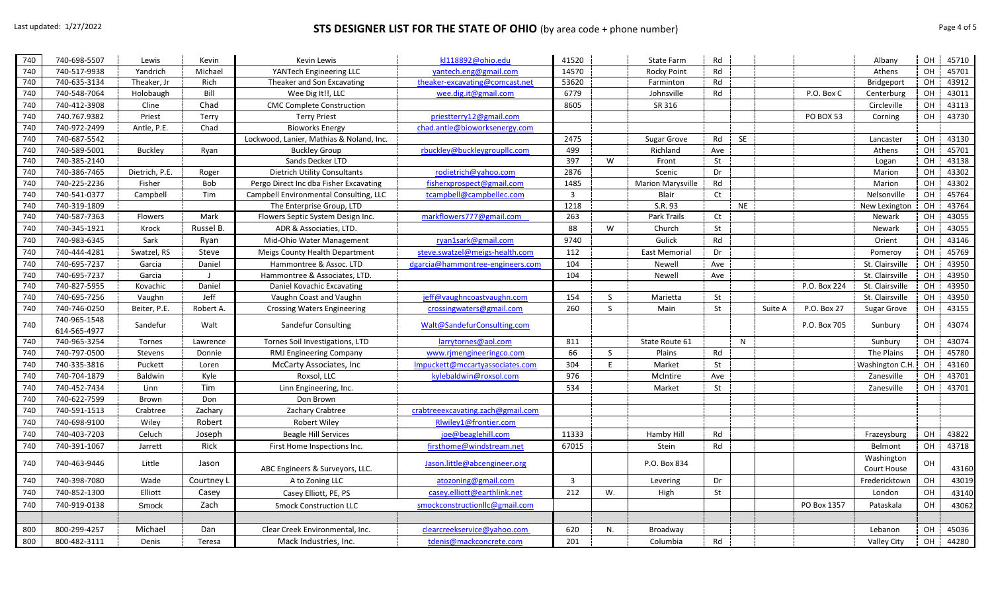## Last updated: 1/27/2022 **STS DESIGNER LIST FOR THE STATE OF OHIO** (by area code + phone number) Page 4 of 5

| 740 | 740-698-5507 | Lewis          | Kevin      | Kevin Lewis                              | kl118892@ohio.edu                 | 41520                   |              | State Farm        | Rd        |           |                        | Albany             | OH        | 45710 |
|-----|--------------|----------------|------------|------------------------------------------|-----------------------------------|-------------------------|--------------|-------------------|-----------|-----------|------------------------|--------------------|-----------|-------|
| 740 | 740-517-9938 | Yandrich       | Michael    | YANTech Engineering LLC                  | yantech.eng@gmail.com             | 14570                   |              | Rocky Point       | Rd        |           |                        | Athens             | OH        | 45701 |
| 740 | 740-635-3134 | Theaker, Jr    | Rich       | Theaker and Son Excavating               | theaker-excavating@comcast.net    | 53620                   |              | Farminton         | Rd        |           |                        | Bridgeport         | OH        | 43912 |
| 740 | 740-548-7064 | Holobaugh      | Bill       | Wee Dig It!!, LLC                        | wee.dig.it@gmail.com              | 6779                    |              | Johnsville        | Rd        |           | P.O. Box C             | Centerburg         | OH        | 43011 |
| 740 | 740-412-3908 | Cline          | Chad       | <b>CMC Complete Construction</b>         |                                   | 8605                    |              | SR 316            |           |           |                        | Circleville        | OH        | 43113 |
| 740 | 740.767.9382 | Priest         | Terry      | <b>Terry Priest</b>                      | priestterry12@gmail.com           |                         |              |                   |           |           | <b>PO BOX 53</b>       | Corning            | OH        | 43730 |
| 740 | 740-972-2499 | Antle, P.E.    | Chad       | <b>Bioworks Energy</b>                   | chad.antle@bioworksenergy.com     |                         |              |                   |           |           |                        |                    |           |       |
| 740 | 740-687-5542 |                |            | Lockwood, Lanier, Mathias & Noland, Inc. |                                   | 2475                    |              | Sugar Grove       | Rd        | <b>SE</b> |                        | Lancaster          | OH        | 43130 |
| 740 | 740-589-5001 | Buckley        | Ryan       | <b>Buckley Group</b>                     | rbuckley@buckleygroupllc.com      | 499                     |              | Richland          | Ave       |           |                        | Athens             | OH        | 45701 |
| 740 | 740-385-2140 |                |            | Sands Decker LTD                         |                                   | 397                     | W            | Front             | St        |           |                        | Logan              | OH        | 43138 |
| 740 | 740-386-7465 | Dietrich, P.E. | Roger      | <b>Dietrich Utility Consultants</b>      | rodietrich@yahoo.com              | 2876                    |              | Scenic            | Dr        |           |                        | Marion             | OH        | 43302 |
| 740 | 740-225-2236 | Fisher         | Bob        | Pergo Direct Inc dba Fisher Excavating   | fisherxprospect@gmail.com         | 1485                    |              | Marion Marysville | Rd        |           |                        | Marion             | OH        | 43302 |
| 740 | 740-541-0377 | Campbell       | Tim        | Campbell Environmental Consulting, LLC   | tcampbell@campbellec.com          | $\overline{\mathbf{3}}$ |              | Blair             | Ct        |           |                        | Nelsonville        | OH        | 45764 |
| 740 | 740-319-1809 |                |            | The Enterprise Group, LTD                |                                   | 1218                    |              | S.R. 93           |           | <b>NE</b> |                        | New Lexington      | OH        | 43764 |
| 740 | 740-587-7363 | Flowers        | Mark       | Flowers Septic System Design Inc.        | markflowers777@gmail.com          | 263                     |              | Park Trails       | Ct        |           |                        | Newark             | OH        | 43055 |
| 740 | 740-345-1921 | Krock          | Russel B.  | ADR & Associaties, LTD.                  |                                   | 88                      | W            | Church            | St        |           |                        | Newark             | OH        | 43055 |
| 740 | 740-983-6345 | Sark           | Ryan       | Mid-Ohio Water Management                | ryan1sark@gmail.com               | 9740                    |              | Gulick            | Rd        |           |                        | Orient             | OH        | 43146 |
| 740 | 740-444-4281 | Swatzel, RS    | Steve      | <b>Meigs County Health Department</b>    | steve.swatzel@meigs-health.com    | 112                     |              | East Memorial     | Dr        |           |                        | Pomeroy            | OH        | 45769 |
| 740 | 740-695-7237 | Garcia         | Daniel     | Hammontree & Assoc. LTD                  | dgarcia@hammontree-engineers.com  | 104                     |              | Newell            | Ave       |           |                        | St. Clairsville    | OH        | 43950 |
| 740 | 740-695-7237 | Garcia         |            | Hammontree & Associates, LTD.            |                                   | 104                     |              | Newell            | Ave       |           |                        | St. Clairsville    | OH        | 43950 |
| 740 | 740-827-5955 | Kovachic       | Daniel     | Daniel Kovachic Excavating               |                                   |                         |              |                   |           |           | P.O. Box 224           | St. Clairsville    | OH        | 43950 |
| 740 | 740-695-7256 | Vaughn         | Jeff       | Vaughn Coast and Vaughn                  | jeff@vaughncoastvaughn.com        | 154                     | <sub>S</sub> | Marietta          | St        |           |                        | St. Clairsville    | OH        | 43950 |
| 740 | 740-746-0250 | Beiter, P.E.   | Robert A.  | <b>Crossing Waters Engineering</b>       | crossingwaters@gmail.com          | 260                     | <sub>S</sub> | Main              | St        |           | P.O. Box 27<br>Suite A | <b>Sugar Grove</b> | OH        | 43155 |
| 740 | 740-965-1548 | Sandefur       | Walt       | Sandefur Consulting                      | Walt@SandefurConsulting.com       |                         |              |                   |           |           |                        |                    | OH        | 43074 |
|     | 614-565-4977 |                |            |                                          |                                   |                         |              |                   |           |           | P.O. Box 705           | Sunbury            |           |       |
| 740 | 740-965-3254 | Tornes         | Lawrence   | Tornes Soil Investigations, LTD          | larrytornes@aol.com               | 811                     |              | State Route 61    |           | N         |                        | Sunbury            | OH        | 43074 |
| 740 | 740-797-0500 | Stevens        | Donnie     | RMJ Engineering Company                  | www.rjmengineeringco.com          | 66                      | S.           | Plains            | Rd        |           |                        | The Plains         | OH        | 45780 |
| 740 | 740-335-3816 | Puckett        | Loren      | McCarty Associates, Inc                  | Impuckett@mccartyassociates.com   | 304                     | E            | Market            | <b>St</b> |           |                        | Washington C.H     | OH        | 43160 |
| 740 | 740-704-1879 | Baldwin        | Kyle       | Roxsol, LLC                              | kylebaldwin@roxsol.com            | 976                     |              | McIntire          | Ave       |           |                        | Zanesville         | OH        | 43701 |
| 740 | 740-452-7434 | Linn           | Tim        | Linn Engineering, Inc.                   |                                   | 534                     |              | Market            | St        |           |                        | Zanesville         | OH        | 43701 |
| 740 | 740-622-7599 | Brown          | Don        | Don Brown                                |                                   |                         |              |                   |           |           |                        |                    |           |       |
| 740 | 740-591-1513 | Crabtree       | Zachary    | Zachary Crabtree                         | crabtreeexcavating.zach@gmail.com |                         |              |                   |           |           |                        |                    |           |       |
| 740 | 740-698-9100 | Wiley          | Robert     | <b>Robert Wiley</b>                      | Riwiley1@frontier.com             |                         |              |                   |           |           |                        |                    |           |       |
| 740 | 740-403-7203 | Celuch         | Joseph     | <b>Beagle Hill Services</b>              | joe@beaglehill.com                | 11333                   |              | Hamby Hill        | Rd        |           |                        | Frazeysburg        | OH        | 43822 |
| 740 | 740-391-1067 | Jarrett        | Rick       | First Home Inspections Inc.              | firsthome@windstream.net          | 67015                   |              | Stein             | Rd        |           |                        | Belmont            | OH        | 43718 |
|     |              |                |            |                                          |                                   |                         |              |                   |           |           |                        | Washington         |           |       |
| 740 | 740-463-9446 | Little         | Jason      | ABC Engineers & Surveyors, LLC.          | Jason.little@abcengineer.org      |                         |              | P.O. Box 834      |           |           |                        | Court House        | <b>OH</b> | 43160 |
| 740 | 740-398-7080 | Wade           | Courtney L | A to Zoning LLC                          | atozoning@gmail.com               | $\overline{3}$          |              | Levering          | Dr        |           |                        | Fredericktown      | OH        | 43019 |
| 740 | 740-852-1300 | Elliott        | Casey      | Casey Elliott, PE, PS                    | casey.elliott@earthlink.net       | 212                     | W.           | High              | St        |           |                        | London             | OH        | 43140 |
| 740 | 740-919-0138 | Smock          | Zach       | <b>Smock Construction LLC</b>            | smockconstructionllc@gmail.com    |                         |              |                   |           |           | PO Box 1357            | Pataskala          | OH        | 43062 |
|     |              |                |            |                                          |                                   |                         |              |                   |           |           |                        |                    |           |       |
| 800 | 800-299-4257 | Michael        | Dan        | Clear Creek Environmental, Inc.          |                                   | 620                     | N.           | Broadway          |           |           |                        | Lebanon            | OH        | 45036 |
|     |              |                |            |                                          | clearcreekservice@yahoo.com       |                         |              |                   |           |           |                        |                    |           |       |
| 800 | 800-482-3111 | Denis          | Teresa     | Mack Industries, Inc.                    | tdenis@mackconcrete.com           | 201                     |              | Columbia          | Rd        |           |                        | <b>Valley City</b> | OH        | 44280 |